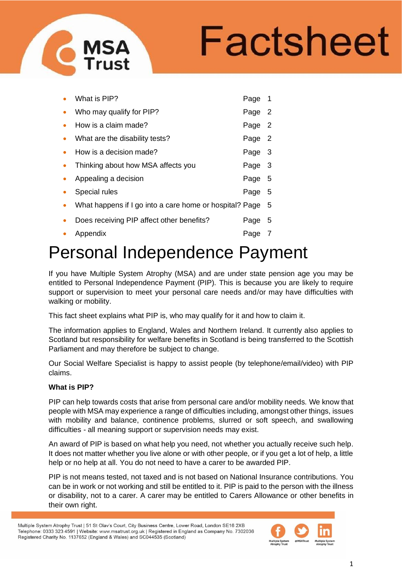# Factsheet

|           | What is PIP?                                              | Page 1 |     |
|-----------|-----------------------------------------------------------|--------|-----|
| $\bullet$ | Who may qualify for PIP?                                  | Page 2 |     |
|           | How is a claim made?                                      | Page 2 |     |
| $\bullet$ | What are the disability tests?                            | Page 2 |     |
|           | How is a decision made?                                   | Page   | - 3 |
| $\bullet$ | Thinking about how MSA affects you                        | Page 3 |     |
|           | Appealing a decision                                      | Page   | - 5 |
|           | Special rules                                             | Page   | - 5 |
| $\bullet$ | What happens if I go into a care home or hospital? Page 5 |        |     |
|           | Does receiving PIP affect other benefits?                 | Page   | - 5 |
|           | Appendix                                                  | Page   |     |

# Personal Independence Payment

If you have Multiple System Atrophy (MSA) and are under state pension age you may be entitled to Personal Independence Payment (PIP). This is because you are likely to require support or supervision to meet your personal care needs and/or may have difficulties with walking or mobility.

This fact sheet explains what PIP is, who may qualify for it and how to claim it.

The information applies to England, Wales and Northern Ireland. It currently also applies to Scotland but responsibility for welfare benefits in Scotland is being transferred to the Scottish Parliament and may therefore be subject to change.

Our Social Welfare Specialist is happy to assist people (by telephone/email/video) with PIP claims.

# **What is PIP?**

PIP can help towards costs that arise from personal care and/or mobility needs. We know that people with MSA may experience a range of difficulties including, amongst other things, issues with mobility and balance, continence problems, slurred or soft speech, and swallowing difficulties - all meaning support or supervision needs may exist.

An award of PIP is based on what help you need, not whether you actually receive such help. It does not matter whether you live alone or with other people, or if you get a lot of help, a little help or no help at all. You do not need to have a carer to be awarded PIP.

PIP is not means tested, not taxed and is not based on National Insurance contributions. You can be in work or not working and still be entitled to it. PIP is paid to the person with the illness or disability, not to a carer. A carer may be entitled to Carers Allowance or other benefits in their own right.

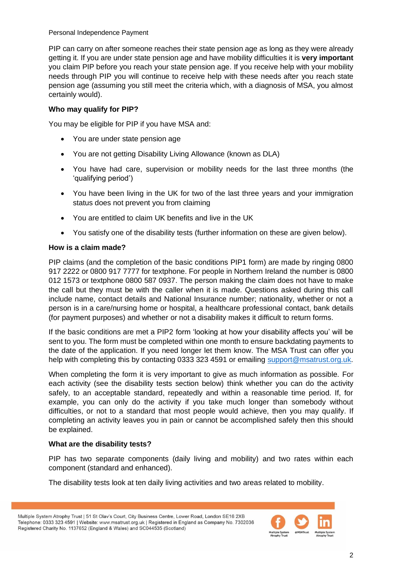PIP can carry on after someone reaches their state pension age as long as they were already getting it. If you are under state pension age and have mobility difficulties it is **very important** you claim PIP before you reach your state pension age. If you receive help with your mobility needs through PIP you will continue to receive help with these needs after you reach state pension age (assuming you still meet the criteria which, with a diagnosis of MSA, you almost certainly would).

# **Who may qualify for PIP?**

You may be eligible for PIP if you have MSA and:

- You are under state pension age
- You are not getting Disability Living Allowance (known as DLA)
- You have had care, supervision or mobility needs for the last three months (the 'qualifying period')
- You have been living in the UK for two of the last three years and your immigration status does not prevent you from claiming
- You are entitled to claim UK benefits and live in the UK
- You satisfy one of the disability tests (further information on these are given below).

#### **How is a claim made?**

PIP claims (and the completion of the basic conditions PIP1 form) are made by ringing 0800 917 2222 or 0800 917 7777 for textphone. For people in Northern Ireland the number is 0800 012 1573 or textphone 0800 587 0937. The person making the claim does not have to make the call but they must be with the caller when it is made. Questions asked during this call include name, contact details and National Insurance number; nationality, whether or not a person is in a care/nursing home or hospital, a healthcare professional contact, bank details (for payment purposes) and whether or not a disability makes it difficult to return forms.

If the basic conditions are met a PIP2 form 'looking at how your disability affects you' will be sent to you. The form must be completed within one month to ensure backdating payments to the date of the application. If you need longer let them know. The MSA Trust can offer you help with completing this by contacting 0333 323 4591 or emailing [support@msatrust.org.uk.](mailto:support@msatrust.org.uk)

When completing the form it is very important to give as much information as possible. For each activity (see the disability tests section below) think whether you can do the activity safely, to an acceptable standard, repeatedly and within a reasonable time period. If, for example, you can only do the activity if you take much longer than somebody without difficulties, or not to a standard that most people would achieve, then you may qualify. If completing an activity leaves you in pain or cannot be accomplished safely then this should be explained.

# **What are the disability tests?**

PIP has two separate components (daily living and mobility) and two rates within each component (standard and enhanced).

The disability tests look at ten daily living activities and two areas related to mobility.

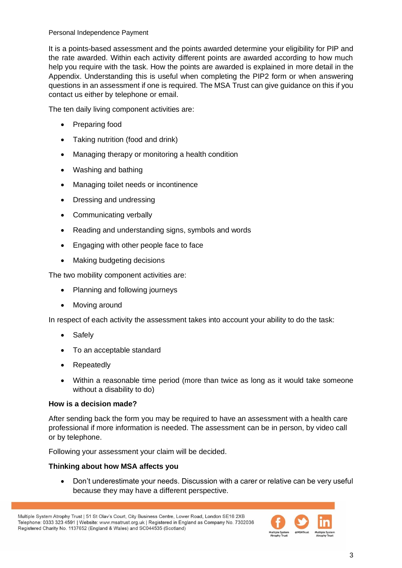It is a points-based assessment and the points awarded determine your eligibility for PIP and the rate awarded. Within each activity different points are awarded according to how much help you require with the task. How the points are awarded is explained in more detail in the Appendix. Understanding this is useful when completing the PIP2 form or when answering questions in an assessment if one is required. The MSA Trust can give guidance on this if you contact us either by telephone or email.

The ten daily living component activities are:

- Preparing food
- Taking nutrition (food and drink)
- Managing therapy or monitoring a health condition
- Washing and bathing
- Managing toilet needs or incontinence
- Dressing and undressing
- Communicating verbally
- Reading and understanding signs, symbols and words
- Engaging with other people face to face
- Making budgeting decisions

The two mobility component activities are:

- Planning and following journeys
- Moving around

In respect of each activity the assessment takes into account your ability to do the task:

- Safely
- To an acceptable standard
- **Repeatedly**
- Within a reasonable time period (more than twice as long as it would take someone without a disability to do)

#### **How is a decision made?**

After sending back the form you may be required to have an assessment with a health care professional if more information is needed. The assessment can be in person, by video call or by telephone.

Following your assessment your claim will be decided.

#### **Thinking about how MSA affects you**

• Don't underestimate your needs. Discussion with a carer or relative can be very useful because they may have a different perspective.

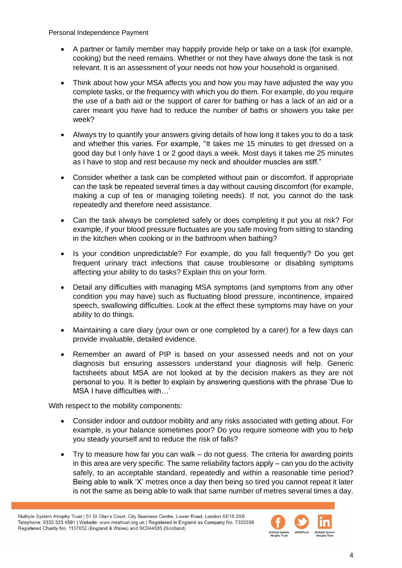- A partner or family member may happily provide help or take on a task (for example, cooking) but the need remains. Whether or not they have always done the task is not relevant. It is an assessment of your needs not how your household is organised.
- Think about how your MSA affects you and how you may have adjusted the way you complete tasks, or the frequency with which you do them. For example, do you require the use of a bath aid or the support of carer for bathing or has a lack of an aid or a carer meant you have had to reduce the number of baths or showers you take per week?
- Always try to quantify your answers giving details of how long it takes you to do a task and whether this varies. For example, "It takes me 15 minutes to get dressed on a good day but I only have 1 or 2 good days a week. Most days it takes me 25 minutes as I have to stop and rest because my neck and shoulder muscles are stiff."
- Consider whether a task can be completed without pain or discomfort. If appropriate can the task be repeated several times a day without causing discomfort (for example, making a cup of tea or managing toileting needs). If not, you cannot do the task repeatedly and therefore need assistance.
- Can the task always be completed safely or does completing it put you at risk? For example, if your blood pressure fluctuates are you safe moving from sitting to standing in the kitchen when cooking or in the bathroom when bathing?
- Is your condition unpredictable? For example, do you fall frequently? Do you get frequent urinary tract infections that cause troublesome or disabling symptoms affecting your ability to do tasks? Explain this on your form.
- Detail any difficulties with managing MSA symptoms (and symptoms from any other condition you may have) such as fluctuating blood pressure, incontinence, impaired speech, swallowing difficulties. Look at the effect these symptoms may have on your ability to do things.
- Maintaining a care diary (your own or one completed by a carer) for a few days can provide invaluable, detailed evidence.
- Remember an award of PIP is based on your assessed needs and not on your diagnosis but ensuring assessors understand your diagnosis will help. Generic factsheets about MSA are not looked at by the decision makers as they are not personal to you. It is better to explain by answering questions with the phrase 'Due to MSA I have difficulties with  $\blacksquare$

With respect to the mobility components:

- Consider indoor and outdoor mobility and any risks associated with getting about. For example, is your balance sometimes poor? Do you require someone with you to help you steady yourself and to reduce the risk of falls?
- Try to measure how far you can walk do not guess. The criteria for awarding points in this area are very specific. The same reliability factors apply – can you do the activity safely, to an acceptable standard, repeatedly and within a reasonable time period? Being able to walk 'X' metres once a day then being so tired you cannot repeat it later is not the same as being able to walk that same number of metres several times a day.

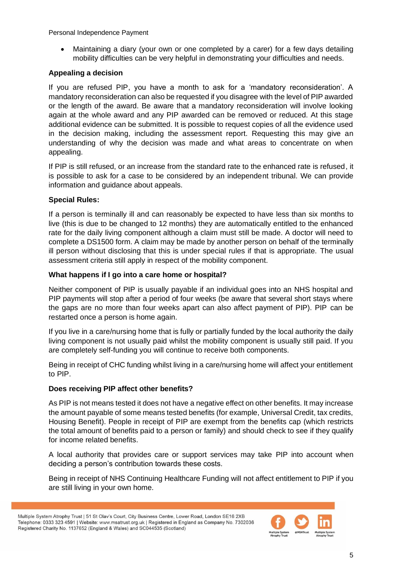• Maintaining a diary (your own or one completed by a carer) for a few days detailing mobility difficulties can be very helpful in demonstrating your difficulties and needs.

### **Appealing a decision**

If you are refused PIP, you have a month to ask for a 'mandatory reconsideration'. A mandatory reconsideration can also be requested if you disagree with the level of PIP awarded or the length of the award. Be aware that a mandatory reconsideration will involve looking again at the whole award and any PIP awarded can be removed or reduced. At this stage additional evidence can be submitted. It is possible to request copies of all the evidence used in the decision making, including the assessment report. Requesting this may give an understanding of why the decision was made and what areas to concentrate on when appealing.

If PIP is still refused, or an increase from the standard rate to the enhanced rate is refused, it is possible to ask for a case to be considered by an independent tribunal. We can provide information and guidance about appeals.

#### **Special Rules:**

If a person is terminally ill and can reasonably be expected to have less than six months to live (this is due to be changed to 12 months) they are automatically entitled to the enhanced rate for the daily living component although a claim must still be made. A doctor will need to complete a DS1500 form. A claim may be made by another person on behalf of the terminally ill person without disclosing that this is under special rules if that is appropriate. The usual assessment criteria still apply in respect of the mobility component.

#### **What happens if I go into a care home or hospital?**

Neither component of PIP is usually payable if an individual goes into an NHS hospital and PIP payments will stop after a period of four weeks (be aware that several short stays where the gaps are no more than four weeks apart can also affect payment of PIP). PIP can be restarted once a person is home again.

If you live in a care/nursing home that is fully or partially funded by the local authority the daily living component is not usually paid whilst the mobility component is usually still paid. If you are completely self-funding you will continue to receive both components.

Being in receipt of CHC funding whilst living in a care/nursing home will affect your entitlement to PIP.

#### **Does receiving PIP affect other benefits?**

As PIP is not means tested it does not have a negative effect on other benefits. It may increase the amount payable of some means tested benefits (for example, Universal Credit, tax credits, Housing Benefit). People in receipt of PIP are exempt from the benefits cap (which restricts the total amount of benefits paid to a person or family) and should check to see if they qualify for income related benefits.

A local authority that provides care or support services may take PIP into account when deciding a person's contribution towards these costs.

Being in receipt of NHS Continuing Healthcare Funding will not affect entitlement to PIP if you are still living in your own home.

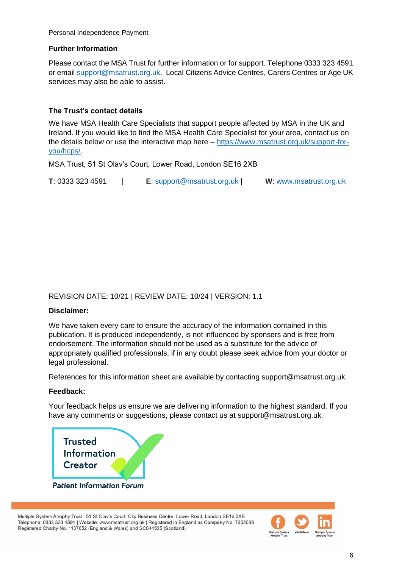#### **Further Information**

Please contact the MSA Trust for further information or for support. Telephone 0333 323 4591 or email [support@msatrust.org.uk.](mailto:support@msatrust.org.uk) Local Citizens Advice Centres, Carers Centres or Age UK services may also be able to assist.

# **The Trust's contact details**

We have MSA Health Care Specialists that support people affected by MSA in the UK and Ireland. If you would like to find the MSA Health Care Specialist for your area, contact us on the details below or use the interactive map here – [https://www.msatrust.org.uk/support-for](https://www.msatrust.org.uk/support-for-you/hcps/)[you/hcps/.](https://www.msatrust.org.uk/support-for-you/hcps/)

MSA Trust, 51 St Olav's Court, Lower Road, London SE16 2XB

**T**: 0333 323 4591 | **E**: [support@msatrust.org.uk](mailto:support@msatrust.org.uk) | **W**: [www.msatrust.org.uk](http://www.msatrust.org.uk/)

# REVISION DATE: 10/21 | REVIEW DATE: 10/24 | VERSION: 1.1

#### **Disclaimer:**

We have taken every care to ensure the accuracy of the information contained in this publication. It is produced independently, is not influenced by sponsors and is free from endorsement. The information should not be used as a substitute for the advice of appropriately qualified professionals, if in any doubt please seek advice from your doctor or legal professional.

References for this information sheet are available by contacting support@msatrust.org.uk.

#### **Feedback:**

Your feedback helps us ensure we are delivering information to the highest standard. If you have any comments or suggestions, please contact us at support@msatrust.org.uk.



**Patient Information Forum** 

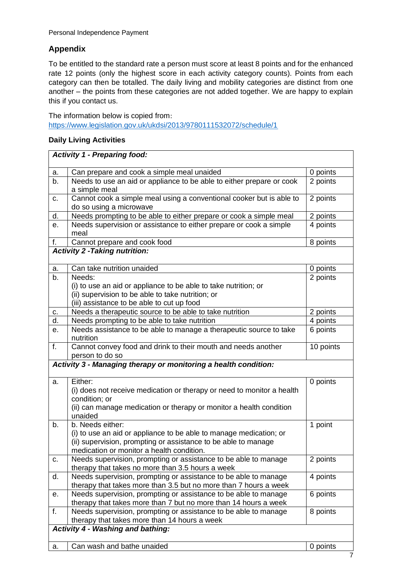# **Appendix**

To be entitled to the standard rate a person must score at least 8 points and for the enhanced rate 12 points (only the highest score in each activity category counts). Points from each category can then be totalled. The daily living and mobility categories are distinct from one another – the points from these categories are not added together. We are happy to explain this if you contact us.

The information below is copied from: <https://www.legislation.gov.uk/ukdsi/2013/9780111532072/schedule/1>

# **Daily Living Activities**

|                                                                 | <b>Activity 1 - Preparing food:</b>                                                                                                                                                                   |           |  |
|-----------------------------------------------------------------|-------------------------------------------------------------------------------------------------------------------------------------------------------------------------------------------------------|-----------|--|
| a.                                                              | Can prepare and cook a simple meal unaided                                                                                                                                                            | 0 points  |  |
| b.                                                              | Needs to use an aid or appliance to be able to either prepare or cook<br>a simple meal                                                                                                                | 2 points  |  |
| c.                                                              | Cannot cook a simple meal using a conventional cooker but is able to<br>do so using a microwave                                                                                                       | 2 points  |  |
| d.                                                              | Needs prompting to be able to either prepare or cook a simple meal                                                                                                                                    | 2 points  |  |
| е.                                                              | Needs supervision or assistance to either prepare or cook a simple<br>meal                                                                                                                            | 4 points  |  |
| f.                                                              | Cannot prepare and cook food                                                                                                                                                                          | 8 points  |  |
|                                                                 | <b>Activity 2 -Taking nutrition:</b>                                                                                                                                                                  |           |  |
| a.                                                              | Can take nutrition unaided                                                                                                                                                                            | 0 points  |  |
| b.                                                              | Needs:<br>(i) to use an aid or appliance to be able to take nutrition; or<br>(ii) supervision to be able to take nutrition; or<br>(iii) assistance to be able to cut up food                          | 2 points  |  |
| с.                                                              | Needs a therapeutic source to be able to take nutrition                                                                                                                                               | 2 points  |  |
| $\overline{\mathsf{d}}$ .                                       | Needs prompting to be able to take nutrition                                                                                                                                                          | 4 points  |  |
| е.                                                              | Needs assistance to be able to manage a therapeutic source to take<br>nutrition                                                                                                                       | 6 points  |  |
| f.                                                              | Cannot convey food and drink to their mouth and needs another<br>person to do so                                                                                                                      | 10 points |  |
| Activity 3 - Managing therapy or monitoring a health condition: |                                                                                                                                                                                                       |           |  |
| a.                                                              | Either:<br>(i) does not receive medication or therapy or need to monitor a health<br>condition; or<br>(ii) can manage medication or therapy or monitor a health condition<br>unaided                  | 0 points  |  |
| b.                                                              | b. Needs either:<br>(i) to use an aid or appliance to be able to manage medication; or<br>(ii) supervision, prompting or assistance to be able to manage<br>medication or monitor a health condition. | 1 point   |  |
| c.                                                              | Needs supervision, prompting or assistance to be able to manage<br>therapy that takes no more than 3.5 hours a week                                                                                   | 2 points  |  |
| d.                                                              | Needs supervision, prompting or assistance to be able to manage<br>therapy that takes more than 3.5 but no more than 7 hours a week                                                                   | 4 points  |  |
| е.                                                              | Needs supervision, prompting or assistance to be able to manage<br>therapy that takes more than 7 but no more than 14 hours a week                                                                    | 6 points  |  |
| f.                                                              | Needs supervision, prompting or assistance to be able to manage<br>therapy that takes more than 14 hours a week                                                                                       | 8 points  |  |
| <b>Activity 4 - Washing and bathing:</b>                        |                                                                                                                                                                                                       |           |  |
| a.                                                              | Can wash and bathe unaided                                                                                                                                                                            | 0 points  |  |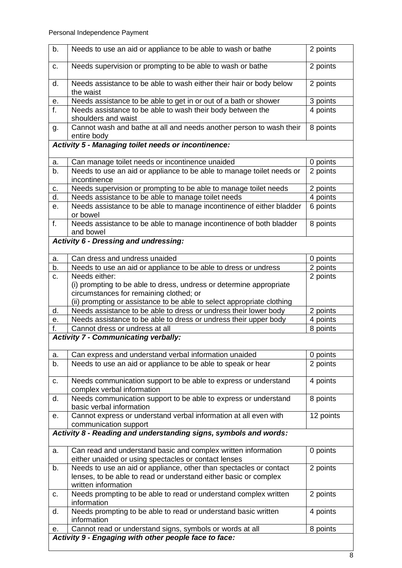| b.                                                    | Needs to use an aid or appliance to be able to wash or bathe                                                          | 2 points  |  |  |
|-------------------------------------------------------|-----------------------------------------------------------------------------------------------------------------------|-----------|--|--|
| c.                                                    | Needs supervision or prompting to be able to wash or bathe                                                            | 2 points  |  |  |
| d.                                                    | Needs assistance to be able to wash either their hair or body below<br>the waist                                      | 2 points  |  |  |
| е.                                                    | Needs assistance to be able to get in or out of a bath or shower                                                      | 3 points  |  |  |
| f.                                                    | Needs assistance to be able to wash their body between the<br>shoulders and waist                                     | 4 points  |  |  |
| g.                                                    | Cannot wash and bathe at all and needs another person to wash their<br>entire body                                    | 8 points  |  |  |
|                                                       | <b>Activity 5 - Managing toilet needs or incontinence:</b>                                                            |           |  |  |
| a.                                                    | Can manage toilet needs or incontinence unaided                                                                       | 0 points  |  |  |
| b.                                                    | Needs to use an aid or appliance to be able to manage toilet needs or                                                 | 2 points  |  |  |
|                                                       | incontinence                                                                                                          |           |  |  |
| С.                                                    | Needs supervision or prompting to be able to manage toilet needs                                                      | 2 points  |  |  |
| $\overline{\mathsf{d}}$ .                             | Needs assistance to be able to manage toilet needs                                                                    | 4 points  |  |  |
| е.                                                    | Needs assistance to be able to manage incontinence of either bladder<br>or bowel                                      | 6 points  |  |  |
| f.                                                    | Needs assistance to be able to manage incontinence of both bladder<br>and bowel                                       | 8 points  |  |  |
|                                                       | <b>Activity 6 - Dressing and undressing:</b>                                                                          |           |  |  |
| a.                                                    | Can dress and undress unaided                                                                                         | 0 points  |  |  |
| b.                                                    | Needs to use an aid or appliance to be able to dress or undress                                                       | 2 points  |  |  |
| c.                                                    | Needs either:                                                                                                         | 2 points  |  |  |
|                                                       | (i) prompting to be able to dress, undress or determine appropriate<br>circumstances for remaining clothed; or        |           |  |  |
|                                                       | (ii) prompting or assistance to be able to select appropriate clothing                                                |           |  |  |
| d.                                                    | Needs assistance to be able to dress or undress their lower body                                                      | 2 points  |  |  |
| е.                                                    | Needs assistance to be able to dress or undress their upper body                                                      | 4 points  |  |  |
| f.                                                    | Cannot dress or undress at all                                                                                        | 8 points  |  |  |
|                                                       | <b>Activity 7 - Communicating verbally:</b>                                                                           |           |  |  |
| a.                                                    | Can express and understand verbal information unaided                                                                 | 0 points  |  |  |
| b.                                                    | Needs to use an aid or appliance to be able to speak or hear                                                          | 2 points  |  |  |
| c.                                                    | Needs communication support to be able to express or understand<br>complex verbal information                         | 4 points  |  |  |
| d.                                                    | Needs communication support to be able to express or understand<br>basic verbal information                           | 8 points  |  |  |
| е.                                                    | Cannot express or understand verbal information at all even with<br>communication support                             | 12 points |  |  |
|                                                       | Activity 8 - Reading and understanding signs, symbols and words:                                                      |           |  |  |
| a.                                                    | Can read and understand basic and complex written information<br>either unaided or using spectacles or contact lenses | 0 points  |  |  |
| b.                                                    | Needs to use an aid or appliance, other than spectacles or contact                                                    | 2 points  |  |  |
|                                                       | lenses, to be able to read or understand either basic or complex<br>written information                               |           |  |  |
| c.                                                    | Needs prompting to be able to read or understand complex written<br>information                                       | 2 points  |  |  |
| d.                                                    | Needs prompting to be able to read or understand basic written<br>information                                         | 4 points  |  |  |
| е.                                                    | Cannot read or understand signs, symbols or words at all                                                              | 8 points  |  |  |
| Activity 9 - Engaging with other people face to face: |                                                                                                                       |           |  |  |
|                                                       |                                                                                                                       |           |  |  |